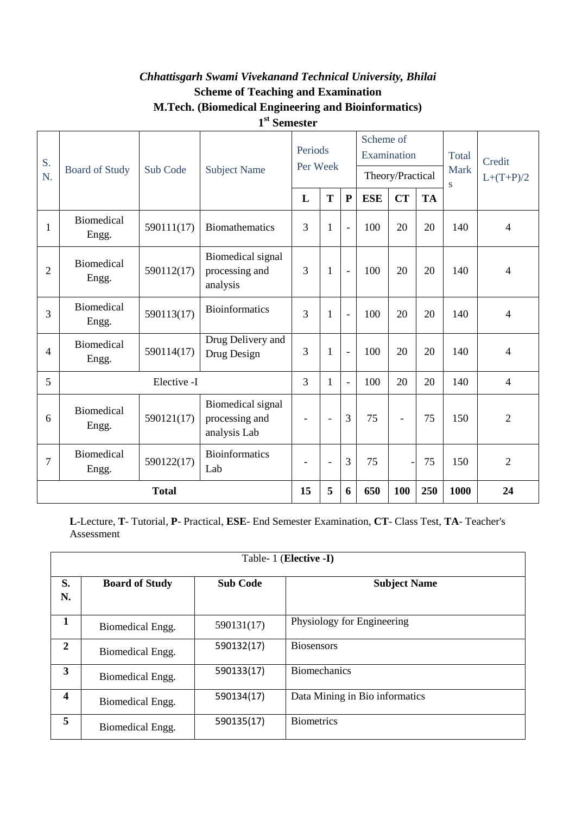### *Chhattisgarh Swami Vivekanand Technical University, Bhilai* **Scheme of Teaching and Examination M.Tech. (Biomedical Engineering and Bioinformatics) 1 st Semester**

| S.<br>N.       | <b>Board of Study</b>      | Sub Code   | <b>Subject Name</b>                                 | Periods<br>Per Week      |                          |                          | Scheme of<br>Examination | Theory/Practical |           | Total<br><b>Mark</b> | Credit<br>$L+(T+P)/2$ |
|----------------|----------------------------|------------|-----------------------------------------------------|--------------------------|--------------------------|--------------------------|--------------------------|------------------|-----------|----------------------|-----------------------|
|                |                            |            |                                                     | L                        | T                        | ${\bf P}$                | <b>ESE</b>               | <b>CT</b>        | <b>TA</b> | S                    |                       |
| $\mathbf{1}$   | <b>Biomedical</b><br>Engg. | 590111(17) | <b>Biomathematics</b>                               | 3                        | 1                        | $\overline{a}$           | 100                      | 20               | 20        | 140                  | 4                     |
| $\overline{2}$ | <b>Biomedical</b><br>Engg. | 590112(17) | Biomedical signal<br>processing and<br>analysis     | 3                        | 1                        | $\overline{\phantom{a}}$ | 100                      | 20               | 20        | 140                  | 4                     |
| $\overline{3}$ | <b>Biomedical</b><br>Engg. | 590113(17) | <b>Bioinformatics</b>                               | 3                        | 1                        | $\overline{a}$           | 100                      | 20               | 20        | 140                  | 4                     |
| $\overline{4}$ | <b>Biomedical</b><br>Engg. | 590114(17) | Drug Delivery and<br>Drug Design                    | 3                        | 1                        | $\frac{1}{2}$            | 100                      | 20               | 20        | 140                  | 4                     |
| 5              | Elective -I                |            |                                                     | 3                        | 1                        | $\blacksquare$           | 100                      | 20               | 20        | 140                  | $\overline{4}$        |
| 6              | <b>Biomedical</b><br>Engg. | 590121(17) | Biomedical signal<br>processing and<br>analysis Lab | $\overline{\phantom{a}}$ | L,                       | $\overline{3}$           | 75                       | $\blacksquare$   | 75        | 150                  | $\overline{2}$        |
| $\overline{7}$ | <b>Biomedical</b><br>Engg. | 590122(17) | <b>Bioinformatics</b><br>Lab                        | $\overline{\phantom{a}}$ | $\overline{\phantom{m}}$ | 3                        | 75                       |                  | 75        | 150                  | $\overline{2}$        |
|                | <b>Total</b>               |            |                                                     |                          | 5                        | 6                        | 650                      | 100              | 250       | 1000                 | 24                    |

**L**-Lecture, **T**- Tutorial, **P**- Practical, **ESE**- End Semester Examination, **CT**- Class Test, **TA**- Teacher's Assessment

|                         | Table- 1 (Elective -I) |                 |                                |  |  |  |  |  |  |  |  |
|-------------------------|------------------------|-----------------|--------------------------------|--|--|--|--|--|--|--|--|
| S.<br>N.                | <b>Board of Study</b>  | <b>Sub Code</b> | <b>Subject Name</b>            |  |  |  |  |  |  |  |  |
| $\mathbf{1}$            | Biomedical Engg.       | 590131(17)      | Physiology for Engineering     |  |  |  |  |  |  |  |  |
| $\overline{2}$          | Biomedical Engg.       | 590132(17)      | <b>Biosensors</b>              |  |  |  |  |  |  |  |  |
| 3                       | Biomedical Engg.       | 590133(17)      | <b>Biomechanics</b>            |  |  |  |  |  |  |  |  |
| $\overline{\mathbf{4}}$ | Biomedical Engg.       | 590134(17)      | Data Mining in Bio informatics |  |  |  |  |  |  |  |  |
| 5                       | Biomedical Engg.       | 590135(17)      | <b>Biometrics</b>              |  |  |  |  |  |  |  |  |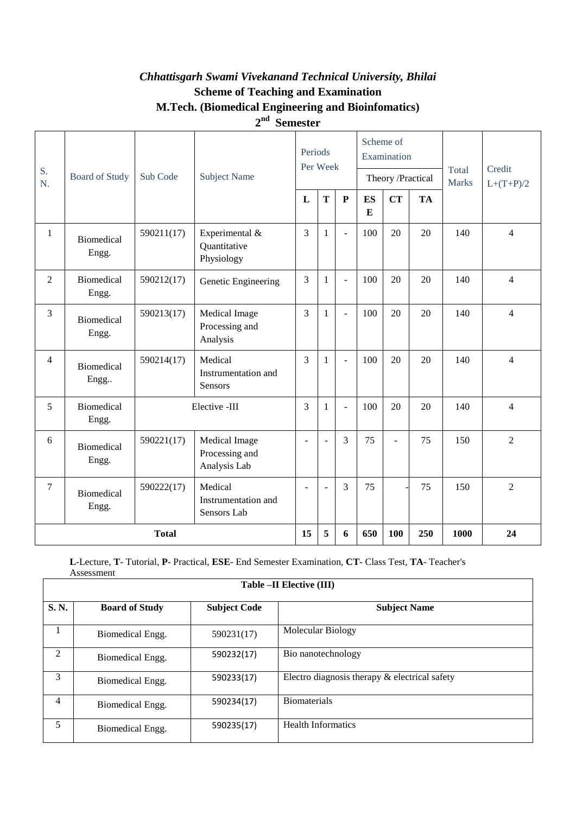### *Chhattisgarh Swami Vivekanand Technical University, Bhilai* **Scheme of Teaching and Examination M.Tech. (Biomedical Engineering and Bioinfomatics) 2 nd Semester**

|                |                            |                                                            |                                                 | Periods        | Per Week       |                |                | Scheme of<br>Examination |              | Credit<br>Total |                |
|----------------|----------------------------|------------------------------------------------------------|-------------------------------------------------|----------------|----------------|----------------|----------------|--------------------------|--------------|-----------------|----------------|
| S.<br>N.       | <b>Board of Study</b>      | Sub Code                                                   | <b>Subject Name</b>                             |                |                |                |                | Theory /Practical        | <b>Marks</b> |                 | $L+(T+P)/2$    |
|                |                            |                                                            |                                                 | L              | T              | $\mathbf P$    | <b>ES</b><br>E | <b>CT</b>                | <b>TA</b>    |                 |                |
| $\mathbf{1}$   | <b>Biomedical</b><br>Engg. | Experimental &<br>590211(17)<br>Quantitative<br>Physiology |                                                 | 3              | $\mathbf{1}$   | $\overline{a}$ | 100            | 20                       | 20           | 140             | $\overline{4}$ |
| $\overline{2}$ | <b>Biomedical</b><br>Engg. | 590212(17)                                                 | Genetic Engineering                             | 3              | 1              |                | 100            | 20                       | 20           | 140             | $\overline{4}$ |
| 3              | <b>Biomedical</b><br>Engg. | 590213(17)                                                 | Medical Image<br>Processing and<br>Analysis     | $\overline{3}$ | $\mathbf{1}$   |                | 100            | 20                       | 20           | 140             | $\overline{4}$ |
| $\overline{4}$ | Biomedical<br>Engg         | 590214(17)                                                 | Medical<br>Instrumentation and<br>Sensors       | $\mathcal{E}$  | $\mathbf{1}$   | $\overline{a}$ | 100            | 20                       | 20           | 140             | $\overline{4}$ |
| 5              | <b>Biomedical</b><br>Engg. | Elective -III                                              |                                                 | 3              | 1              |                | 100            | 20                       | 20           | 140             | $\overline{4}$ |
| 6              | <b>Biomedical</b><br>Engg. | 590221(17)                                                 | Medical Image<br>Processing and<br>Analysis Lab | $\sim$         | ٠              | 3              | 75             | L.                       | 75           | 150             | $\overline{2}$ |
| $\tau$         | <b>Biomedical</b><br>Engg. | 590222(17)                                                 | Medical<br>Instrumentation and<br>Sensors Lab   | $\sim$         | $\overline{a}$ | 3              | 75             |                          | 75           | 150             | $\overline{2}$ |
|                | <b>Total</b>               |                                                            |                                                 |                | 5              | 6              | 650            | 100                      | 250          | 1000            | 24             |

**L**-Lecture, **T**- Tutorial, **P**- Practical, **ESE**- End Semester Examination, **CT**- Class Test, **TA**- Teacher's Assessment **Table –II Elective (III)**

 $\overline{1}$ 

|      | $1400 \times 11200 \times 1117$ |                     |                                               |  |  |  |  |  |  |  |  |
|------|---------------------------------|---------------------|-----------------------------------------------|--|--|--|--|--|--|--|--|
| S.N. | <b>Board of Study</b>           | <b>Subject Code</b> | <b>Subject Name</b>                           |  |  |  |  |  |  |  |  |
| 1    | Biomedical Engg.                | 590231(17)          | Molecular Biology                             |  |  |  |  |  |  |  |  |
| 2    | Biomedical Engg.                | 590232(17)          | Bio nanotechnology                            |  |  |  |  |  |  |  |  |
| 3    | Biomedical Engg.                | 590233(17)          | Electro diagnosis therapy & electrical safety |  |  |  |  |  |  |  |  |
| 4    | Biomedical Engg.                | 590234(17)          | <b>Biomaterials</b>                           |  |  |  |  |  |  |  |  |
| 5    | Biomedical Engg.                | 590235(17)          | <b>Health Informatics</b>                     |  |  |  |  |  |  |  |  |

 $\overline{\phantom{a}}$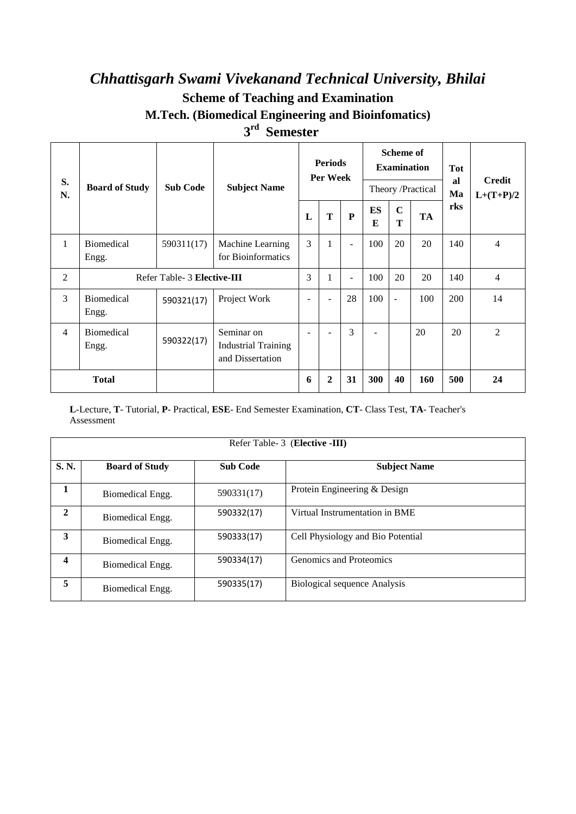# *Chhattisgarh Swami Vivekanand Technical University, Bhilai* **Scheme of Teaching and Examination M.Tech. (Biomedical Engineering and Bioinfomatics)**

### **3 rd Semester**

| S.<br>N.       | <b>Board of Study</b>       | <b>Sub Code</b> | <b>Subject Name</b>                                          |   | <b>Periods</b><br>Per Week |                |                | <b>Scheme of</b><br><b>Examination</b> | Theory /Practical | <b>Tot</b><br>al<br>Ma | Credit<br>$L+(T+P)/2$ |  |
|----------------|-----------------------------|-----------------|--------------------------------------------------------------|---|----------------------------|----------------|----------------|----------------------------------------|-------------------|------------------------|-----------------------|--|
|                |                             |                 |                                                              | L | T                          | P              | <b>ES</b><br>E | $\mathbf C$<br>T                       | <b>TA</b>         | rks                    |                       |  |
| $\mathbf{1}$   | Biomedical<br>Engg.         | 590311(17)      | Machine Learning<br>for Bioinformatics                       | 3 | 1                          | $\blacksquare$ | 100            | 20                                     | 20                | 140                    | 4                     |  |
| $\overline{2}$ | Refer Table- 3 Elective-III |                 |                                                              | 3 | 1                          | ÷.             | 100            | 20                                     | 20                | 140                    | 4                     |  |
| 3              | <b>Biomedical</b><br>Engg.  | 590321(17)      | Project Work                                                 | ۰ |                            | 28             | 100            | $\blacksquare$                         | 100               | 200                    | 14                    |  |
| 4              | <b>Biomedical</b><br>Engg.  | 590322(17)      | Seminar on<br><b>Industrial Training</b><br>and Dissertation |   |                            | 3              |                |                                        | 20                | 20                     | $\overline{2}$        |  |
| <b>Total</b>   |                             |                 |                                                              | 6 | $\boldsymbol{2}$           | 31             | <b>300</b>     | 40                                     | <b>160</b>        | 500                    | 24                    |  |

**L**-Lecture, **T**- Tutorial, **P**- Practical, **ESE**- End Semester Examination, **CT**- Class Test, **TA**- Teacher's Assessment

|              | Refer Table- 3 (Elective -III) |                 |                                     |  |  |  |  |  |  |  |
|--------------|--------------------------------|-----------------|-------------------------------------|--|--|--|--|--|--|--|
| S. N.        | <b>Board of Study</b>          | <b>Sub Code</b> | <b>Subject Name</b>                 |  |  |  |  |  |  |  |
| 1            | Biomedical Engg.               | 590331(17)      | Protein Engineering & Design        |  |  |  |  |  |  |  |
| $\mathbf{2}$ | Biomedical Engg.               | 590332(17)      | Virtual Instrumentation in BME      |  |  |  |  |  |  |  |
| 3            | Biomedical Engg.               | 590333(17)      | Cell Physiology and Bio Potential   |  |  |  |  |  |  |  |
| 4            | Biomedical Engg.               | 590334(17)      | Genomics and Proteomics             |  |  |  |  |  |  |  |
| 5            | Biomedical Engg.               | 590335(17)      | <b>Biological sequence Analysis</b> |  |  |  |  |  |  |  |